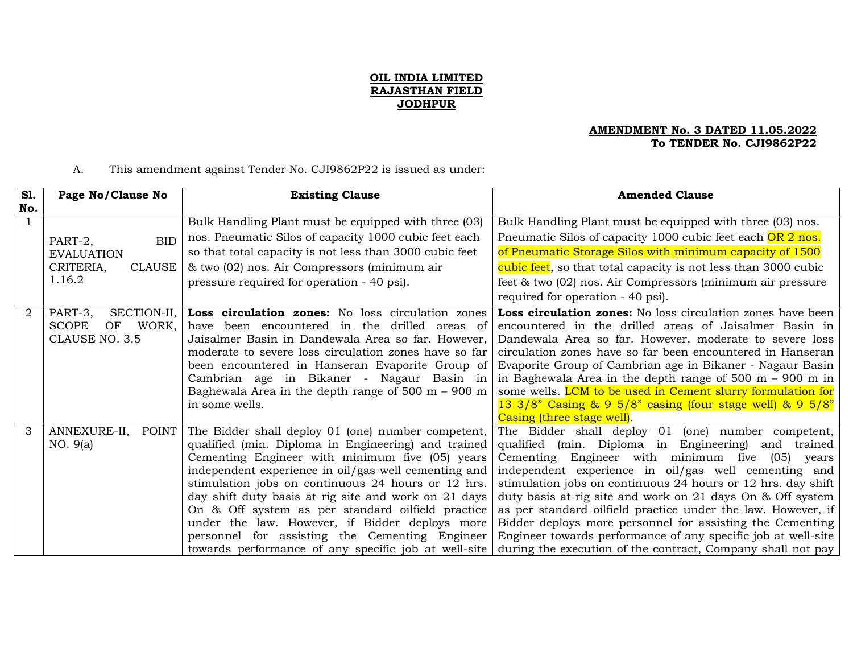## **OIL INDIA LIMITED RAJASTHAN FIELD JODHPUR**

## **AMENDMENT No. 3 DATED 11.05.2022 To TENDER No. CJI9862P22**

## A. This amendment against Tender No. CJI9862P22 is issued as under:

| S1. | Page No/Clause No           | <b>Existing Clause</b>                                       | <b>Amended Clause</b>                                                       |
|-----|-----------------------------|--------------------------------------------------------------|-----------------------------------------------------------------------------|
| No. |                             |                                                              |                                                                             |
|     |                             | Bulk Handling Plant must be equipped with three (03)         | Bulk Handling Plant must be equipped with three (03) nos.                   |
|     | <b>BID</b><br>PART-2,       | nos. Pneumatic Silos of capacity 1000 cubic feet each        | Pneumatic Silos of capacity 1000 cubic feet each OR 2 nos.                  |
|     | <b>EVALUATION</b>           | so that total capacity is not less than 3000 cubic feet      | of Pneumatic Storage Silos with minimum capacity of 1500                    |
|     | CRITERIA,<br><b>CLAUSE</b>  | & two (02) nos. Air Compressors (minimum air                 | cubic feet, so that total capacity is not less than 3000 cubic              |
|     | 1.16.2                      | pressure required for operation - 40 psi).                   | feet & two (02) nos. Air Compressors (minimum air pressure                  |
|     |                             |                                                              | required for operation - 40 psi).                                           |
| 2   | PART-3,<br>SECTION-II,      | Loss circulation zones: No loss circulation zones            | Loss circulation zones: No loss circulation zones have been                 |
|     | WORK,<br><b>SCOPE</b><br>OF | have been encountered in the drilled areas of                | encountered in the drilled areas of Jaisalmer Basin in                      |
|     | CLAUSE NO. 3.5              | Jaisalmer Basin in Dandewala Area so far. However,           | Dandewala Area so far. However, moderate to severe loss                     |
|     |                             | moderate to severe loss circulation zones have so far        | circulation zones have so far been encountered in Hanseran                  |
|     |                             | been encountered in Hanseran Evaporite Group of              | Evaporite Group of Cambrian age in Bikaner - Nagaur Basin                   |
|     |                             | Cambrian age in Bikaner - Nagaur Basin in                    | in Baghewala Area in the depth range of $500 \text{ m} - 900 \text{ m}$ in  |
|     |                             | Baghewala Area in the depth range of $500 \text{ m}$ – 900 m | some wells. LCM to be used in Cement slurry formulation for                 |
|     |                             | in some wells.                                               | 13 3/8" Casing $\& 9\frac{5}{8}$ casing (four stage well) $\& 9\frac{5}{8}$ |
|     |                             |                                                              | Casing (three stage well).                                                  |
| 3   | ANNEXURE-II,<br>POINT       | The Bidder shall deploy 01 (one) number competent,           | The Bidder shall deploy 01 (one) number competent,                          |
|     | NO. 9(a)                    | qualified (min. Diploma in Engineering) and trained          | qualified (min. Diploma in Engineering) and<br>trained                      |
|     |                             | Cementing Engineer with minimum five (05) years              | Cementing Engineer with minimum five<br>$(05)$ years                        |
|     |                             | independent experience in oil/gas well cementing and         | independent experience in oil/gas well cementing and                        |
|     |                             | stimulation jobs on continuous 24 hours or 12 hrs.           | stimulation jobs on continuous 24 hours or 12 hrs. day shift                |
|     |                             | day shift duty basis at rig site and work on 21 days         | duty basis at rig site and work on 21 days On & Off system                  |
|     |                             | On & Off system as per standard oilfield practice            | as per standard oilfield practice under the law. However, if                |
|     |                             | under the law. However, if Bidder deploys more               | Bidder deploys more personnel for assisting the Cementing                   |
|     |                             | personnel for assisting the Cementing Engineer               | Engineer towards performance of any specific job at well-site               |
|     |                             | towards performance of any specific job at well-site         | during the execution of the contract, Company shall not pay                 |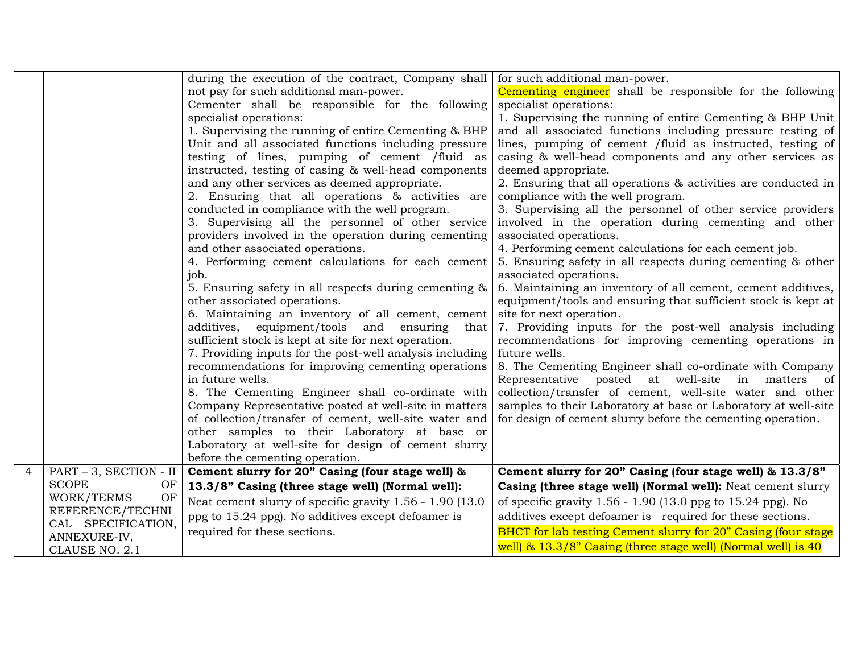|                |                           | during the execution of the contract, Company shall                                                     | for such additional man-power.                                         |
|----------------|---------------------------|---------------------------------------------------------------------------------------------------------|------------------------------------------------------------------------|
|                |                           | not pay for such additional man-power.                                                                  | Cementing engineer shall be responsible for the following              |
|                |                           | Cementer shall be responsible for the following                                                         | specialist operations:                                                 |
|                |                           | specialist operations:                                                                                  | 1. Supervising the running of entire Cementing & BHP Unit              |
|                |                           | 1. Supervising the running of entire Cementing & BHP                                                    | and all associated functions including pressure testing of             |
|                |                           | Unit and all associated functions including pressure                                                    | lines, pumping of cement /fluid as instructed, testing of              |
|                |                           | testing of lines, pumping of cement /fluid as                                                           | casing & well-head components and any other services as                |
|                |                           | instructed, testing of casing & well-head components                                                    | deemed appropriate.                                                    |
|                |                           | and any other services as deemed appropriate.                                                           | 2. Ensuring that all operations & activities are conducted in          |
|                |                           | 2. Ensuring that all operations & activities are                                                        | compliance with the well program.                                      |
|                |                           | conducted in compliance with the well program.                                                          | 3. Supervising all the personnel of other service providers            |
|                |                           | 3. Supervising all the personnel of other service                                                       | involved in the operation during cementing and other                   |
|                |                           | providers involved in the operation during cementing                                                    | associated operations.                                                 |
|                |                           | and other associated operations.                                                                        | 4. Performing cement calculations for each cement job.                 |
|                |                           | 4. Performing cement calculations for each cement                                                       | 5. Ensuring safety in all respects during cementing & other            |
|                |                           | job.                                                                                                    | associated operations.                                                 |
|                |                           | 5. Ensuring safety in all respects during cementing &                                                   | 6. Maintaining an inventory of all cement, cement additives,           |
|                |                           | other associated operations.                                                                            | equipment/tools and ensuring that sufficient stock is kept at          |
|                |                           | 6. Maintaining an inventory of all cement, cement                                                       | site for next operation.                                               |
|                |                           | additives, equipment/tools and ensuring<br>that<br>sufficient stock is kept at site for next operation. | 7. Providing inputs for the post-well analysis including               |
|                |                           | 7. Providing inputs for the post-well analysis including                                                | recommendations for improving cementing operations in<br>future wells. |
|                |                           | recommendations for improving cementing operations                                                      | 8. The Cementing Engineer shall co-ordinate with Company               |
|                |                           | in future wells.                                                                                        | Representative posted at well-site in matters of                       |
|                |                           | 8. The Cementing Engineer shall co-ordinate with                                                        | collection/transfer of cement, well-site water and other               |
|                |                           | Company Representative posted at well-site in matters                                                   | samples to their Laboratory at base or Laboratory at well-site         |
|                |                           | of collection/transfer of cement, well-site water and                                                   | for design of cement slurry before the cementing operation.            |
|                |                           | other samples to their Laboratory at base or                                                            |                                                                        |
|                |                           | Laboratory at well-site for design of cement slurry                                                     |                                                                        |
|                |                           | before the cementing operation.                                                                         |                                                                        |
| $\overline{4}$ | $PART - 3$ , SECTION - II | Cement slurry for 20" Casing (four stage well) &                                                        | Cement slurry for 20" Casing (four stage well) & 13.3/8"               |
|                | <b>SCOPE</b><br>OF        | 13.3/8" Casing (three stage well) (Normal well):                                                        | Casing (three stage well) (Normal well): Neat cement slurry            |
|                | OF<br>WORK/TERMS          | Neat cement slurry of specific gravity 1.56 - 1.90 (13.0)                                               | of specific gravity 1.56 - 1.90 (13.0 ppg to 15.24 ppg). No            |
|                | REFERENCE/TECHNI          | ppg to 15.24 ppg). No additives except defoamer is                                                      | additives except defoamer is required for these sections.              |
|                | CAL SPECIFICATION,        | required for these sections.                                                                            | BHCT for lab testing Cement slurry for 20" Casing (four stage          |
|                | ANNEXURE-IV,              |                                                                                                         | well) & 13.3/8" Casing (three stage well) (Normal well) is 40          |
|                | CLAUSE NO. 2.1            |                                                                                                         |                                                                        |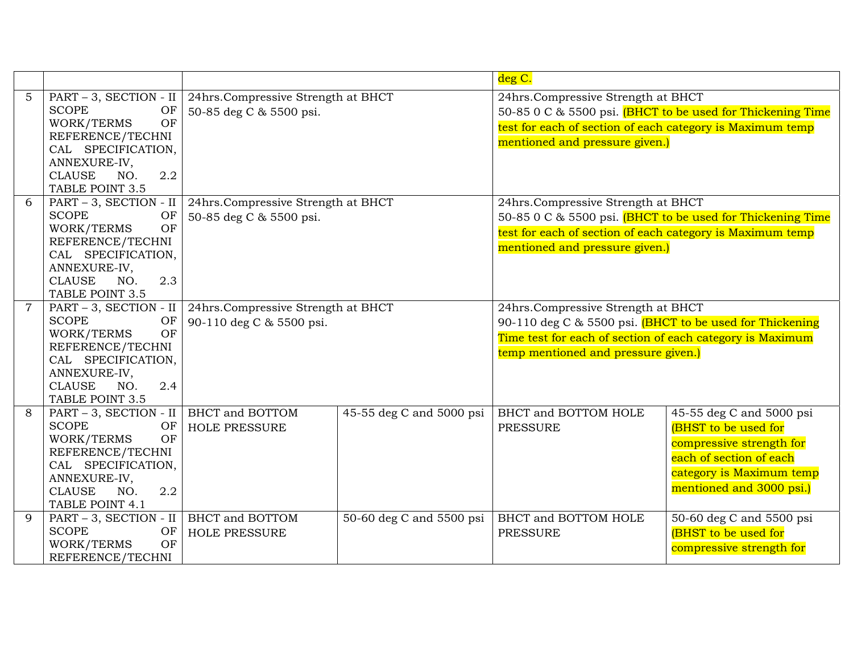|                |                                        |                                    |                          | deg C.                                                     |                          |
|----------------|----------------------------------------|------------------------------------|--------------------------|------------------------------------------------------------|--------------------------|
| 5              | PART - 3, SECTION - II                 | 24hrs.Compressive Strength at BHCT |                          | 24hrs.Compressive Strength at BHCT                         |                          |
|                | <b>SCOPE</b><br>OF                     | 50-85 deg C & 5500 psi.            |                          | 50-85 0 C & 5500 psi. (BHCT to be used for Thickening Time |                          |
|                | OF<br>WORK/TERMS                       |                                    |                          | test for each of section of each category is Maximum temp  |                          |
|                | REFERENCE/TECHNI                       |                                    |                          | mentioned and pressure given.)                             |                          |
|                | CAL SPECIFICATION,                     |                                    |                          |                                                            |                          |
|                | ANNEXURE-IV,                           |                                    |                          |                                                            |                          |
|                | 2.2<br><b>CLAUSE</b><br>NO.            |                                    |                          |                                                            |                          |
|                | TABLE POINT 3.5                        |                                    |                          |                                                            |                          |
| 6              | PART - 3, SECTION - II                 | 24hrs.Compressive Strength at BHCT |                          | 24hrs.Compressive Strength at BHCT                         |                          |
|                | <b>SCOPE</b><br>OF                     | 50-85 deg C & 5500 psi.            |                          | 50-85 0 C & 5500 psi. (BHCT to be used for Thickening Time |                          |
|                | OF<br>WORK/TERMS                       |                                    |                          | test for each of section of each category is Maximum temp  |                          |
|                | REFERENCE/TECHNI<br>CAL SPECIFICATION, |                                    |                          | mentioned and pressure given.)                             |                          |
|                | ANNEXURE-IV,                           |                                    |                          |                                                            |                          |
|                | 2.3<br><b>CLAUSE</b><br>NO.            |                                    |                          |                                                            |                          |
|                | TABLE POINT 3.5                        |                                    |                          |                                                            |                          |
| $\overline{7}$ | PART - 3, SECTION - II                 | 24hrs.Compressive Strength at BHCT |                          | 24hrs.Compressive Strength at BHCT                         |                          |
|                | <b>SCOPE</b><br>OF                     | 90-110 deg C & 5500 psi.           |                          | 90-110 deg C & 5500 psi. (BHCT to be used for Thickening   |                          |
|                | OF<br>WORK/TERMS                       |                                    |                          | Time test for each of section of each category is Maximum  |                          |
|                | REFERENCE/TECHNI                       |                                    |                          | temp mentioned and pressure given.)                        |                          |
|                | CAL SPECIFICATION,                     |                                    |                          |                                                            |                          |
|                | ANNEXURE-IV,                           |                                    |                          |                                                            |                          |
|                | <b>CLAUSE</b><br>2.4<br>NO.            |                                    |                          |                                                            |                          |
|                | TABLE POINT 3.5                        |                                    |                          |                                                            |                          |
| 8              | PART - 3, SECTION - II                 | <b>BHCT</b> and <b>BOTTOM</b>      | 45-55 deg C and 5000 psi | <b>BHCT</b> and BOTTOM HOLE                                | 45-55 deg C and 5000 psi |
|                | <b>SCOPE</b><br>OF                     | <b>HOLE PRESSURE</b>               |                          | <b>PRESSURE</b>                                            | (BHST to be used for     |
|                | WORK/TERMS<br>OF                       |                                    |                          |                                                            | compressive strength for |
|                | REFERENCE/TECHNI<br>CAL SPECIFICATION, |                                    |                          |                                                            | each of section of each  |
|                | ANNEXURE-IV,                           |                                    |                          |                                                            | category is Maximum temp |
|                | <b>CLAUSE</b><br>2.2<br>NO.            |                                    |                          |                                                            | mentioned and 3000 psi.) |
|                | TABLE POINT 4.1                        |                                    |                          |                                                            |                          |
| 9              | PART - 3, SECTION - II                 | <b>BHCT</b> and <b>BOTTOM</b>      | 50-60 deg C and 5500 psi | BHCT and BOTTOM HOLE                                       | 50-60 deg C and 5500 psi |
|                | <b>SCOPE</b><br>OF                     | <b>HOLE PRESSURE</b>               |                          | <b>PRESSURE</b>                                            | (BHST to be used for     |
|                | OF<br>WORK/TERMS                       |                                    |                          |                                                            | compressive strength for |
|                | REFERENCE/TECHNI                       |                                    |                          |                                                            |                          |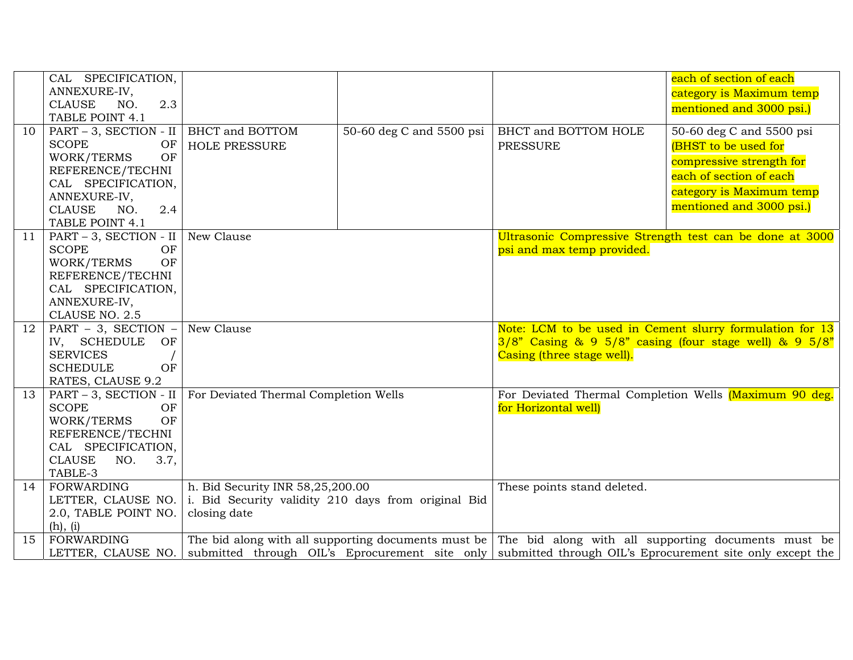|    | CAL SPECIFICATION,           |                                                     |                          |                             | each of section of each                                                                                  |
|----|------------------------------|-----------------------------------------------------|--------------------------|-----------------------------|----------------------------------------------------------------------------------------------------------|
|    | ANNEXURE-IV,                 |                                                     |                          |                             | category is Maximum temp                                                                                 |
|    | <b>CLAUSE</b><br>2.3<br>NO.  |                                                     |                          |                             | mentioned and 3000 psi.)                                                                                 |
|    | TABLE POINT 4.1              |                                                     |                          |                             |                                                                                                          |
| 10 | PART - 3, SECTION - II       | <b>BHCT</b> and <b>BOTTOM</b>                       | 50-60 deg C and 5500 psi | BHCT and BOTTOM HOLE        | 50-60 deg C and 5500 psi                                                                                 |
|    | <b>SCOPE</b><br>OF           | <b>HOLE PRESSURE</b>                                |                          | <b>PRESSURE</b>             | (BHST to be used for                                                                                     |
|    | OF<br>WORK/TERMS             |                                                     |                          |                             | compressive strength for                                                                                 |
|    | REFERENCE/TECHNI             |                                                     |                          |                             | each of section of each                                                                                  |
|    | CAL SPECIFICATION,           |                                                     |                          |                             |                                                                                                          |
|    | ANNEXURE-IV,                 |                                                     |                          |                             | category is Maximum temp                                                                                 |
|    | 2.4<br><b>CLAUSE</b><br>NO.  |                                                     |                          |                             | mentioned and 3000 psi.)                                                                                 |
|    | TABLE POINT 4.1              |                                                     |                          |                             |                                                                                                          |
| 11 | PART - 3, SECTION - II       | New Clause                                          |                          |                             | Ultrasonic Compressive Strength test can be done at 3000                                                 |
|    | <b>SCOPE</b><br>OF           |                                                     |                          | psi and max temp provided.  |                                                                                                          |
|    | WORK/TERMS<br>OF             |                                                     |                          |                             |                                                                                                          |
|    | REFERENCE/TECHNI             |                                                     |                          |                             |                                                                                                          |
|    | CAL SPECIFICATION,           |                                                     |                          |                             |                                                                                                          |
|    | ANNEXURE-IV,                 |                                                     |                          |                             |                                                                                                          |
|    | CLAUSE NO. 2.5               |                                                     |                          |                             |                                                                                                          |
| 12 | PART $-3$ , SECTION $-$      | New Clause                                          |                          |                             | Note: LCM to be used in Cement slurry formulation for 13                                                 |
|    | IV, SCHEDULE<br>OF           |                                                     |                          |                             | $3/8$ " Casing & 9 $5/8$ " casing (four stage well) & 9 $5/8$ "                                          |
|    | <b>SERVICES</b>              |                                                     |                          | Casing (three stage well).  |                                                                                                          |
|    | OF<br><b>SCHEDULE</b>        |                                                     |                          |                             |                                                                                                          |
|    | RATES, CLAUSE 9.2            |                                                     |                          |                             |                                                                                                          |
| 13 | PART - 3, SECTION - II       | For Deviated Thermal Completion Wells               |                          |                             | For Deviated Thermal Completion Wells (Maximum 90 deg.                                                   |
|    | <b>SCOPE</b><br>OF           |                                                     |                          | for Horizontal well)        |                                                                                                          |
|    | OF<br>WORK/TERMS             |                                                     |                          |                             |                                                                                                          |
|    | REFERENCE/TECHNI             |                                                     |                          |                             |                                                                                                          |
|    | CAL SPECIFICATION,           |                                                     |                          |                             |                                                                                                          |
|    | <b>CLAUSE</b><br>NO.<br>3.7, |                                                     |                          |                             |                                                                                                          |
|    | TABLE-3                      |                                                     |                          |                             |                                                                                                          |
| 14 | <b>FORWARDING</b>            | h. Bid Security INR 58,25,200.00                    |                          | These points stand deleted. |                                                                                                          |
|    | LETTER, CLAUSE NO.           | i. Bid Security validity 210 days from original Bid |                          |                             |                                                                                                          |
|    | 2.0, TABLE POINT NO.         | closing date                                        |                          |                             |                                                                                                          |
|    | (h), (i)                     |                                                     |                          |                             |                                                                                                          |
| 15 | <b>FORWARDING</b>            |                                                     |                          |                             | The bid along with all supporting documents must be The bid along with all supporting documents must be  |
|    | LETTER, CLAUSE NO.           |                                                     |                          |                             | submitted through OIL's Eprocurement site only submitted through OIL's Eprocurement site only except the |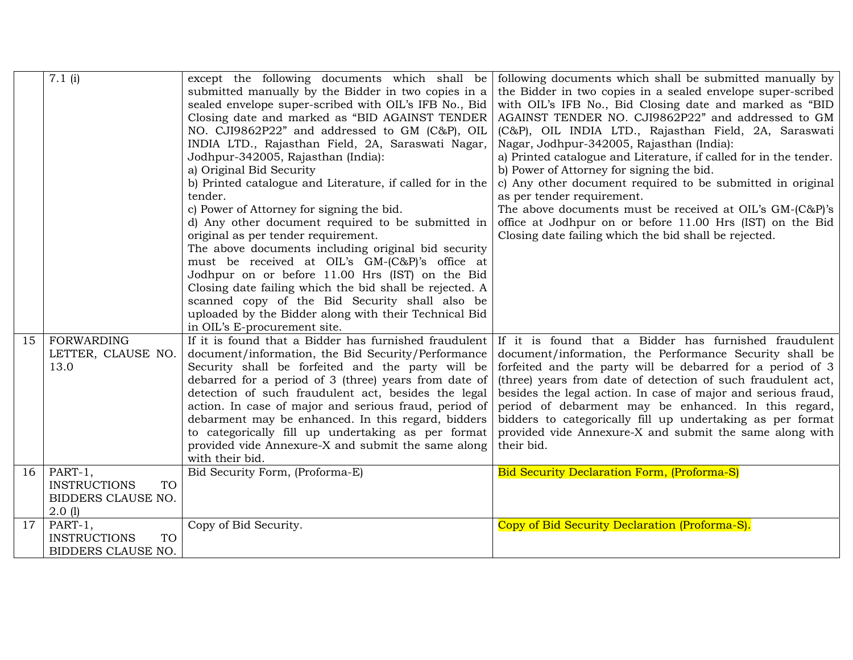|                 | 7.1(i)                           | except the following documents which shall be                  | following documents which shall be submitted manually by          |
|-----------------|----------------------------------|----------------------------------------------------------------|-------------------------------------------------------------------|
|                 |                                  | submitted manually by the Bidder in two copies in a            | the Bidder in two copies in a sealed envelope super-scribed       |
|                 |                                  | sealed envelope super-scribed with OIL's IFB No., Bid          | with OIL's IFB No., Bid Closing date and marked as "BID           |
|                 |                                  | Closing date and marked as "BID AGAINST TENDER                 | AGAINST TENDER NO. CJI9862P22" and addressed to GM                |
|                 |                                  | NO. CJI9862P22" and addressed to GM (C&P), OIL                 | (C&P), OIL INDIA LTD., Rajasthan Field, 2A, Saraswati             |
|                 |                                  | INDIA LTD., Rajasthan Field, 2A, Saraswati Nagar,              | Nagar, Jodhpur-342005, Rajasthan (India):                         |
|                 |                                  |                                                                | a) Printed catalogue and Literature, if called for in the tender. |
|                 |                                  | Jodhpur-342005, Rajasthan (India):<br>a) Original Bid Security | b) Power of Attorney for signing the bid.                         |
|                 |                                  | b) Printed catalogue and Literature, if called for in the      | c) Any other document required to be submitted in original        |
|                 |                                  |                                                                |                                                                   |
|                 |                                  | tender.                                                        | as per tender requirement.                                        |
|                 |                                  | c) Power of Attorney for signing the bid.                      | The above documents must be received at OIL's GM-(C&P)'s          |
|                 |                                  | d) Any other document required to be submitted in              | office at Jodhpur on or before 11.00 Hrs (IST) on the Bid         |
|                 |                                  | original as per tender requirement.                            | Closing date failing which the bid shall be rejected.             |
|                 |                                  | The above documents including original bid security            |                                                                   |
|                 |                                  | must be received at OIL's GM-(C&P)'s office at                 |                                                                   |
|                 |                                  | Jodhpur on or before 11.00 Hrs (IST) on the Bid                |                                                                   |
|                 |                                  | Closing date failing which the bid shall be rejected. A        |                                                                   |
|                 |                                  | scanned copy of the Bid Security shall also be                 |                                                                   |
|                 |                                  | uploaded by the Bidder along with their Technical Bid          |                                                                   |
|                 |                                  | in OIL's E-procurement site.                                   |                                                                   |
| 15              | <b>FORWARDING</b>                | If it is found that a Bidder has furnished fraudulent          | If it is found that a Bidder has furnished fraudulent             |
|                 | LETTER, CLAUSE NO.               | document/information, the Bid Security/Performance             | document/information, the Performance Security shall be           |
|                 | 13.0                             | Security shall be forfeited and the party will be              | forfeited and the party will be debarred for a period of 3        |
|                 |                                  | debarred for a period of 3 (three) years from date of          | (three) years from date of detection of such fraudulent act,      |
|                 |                                  | detection of such fraudulent act, besides the legal            | besides the legal action. In case of major and serious fraud,     |
|                 |                                  | action. In case of major and serious fraud, period of          | period of debarment may be enhanced. In this regard,              |
|                 |                                  | debarment may be enhanced. In this regard, bidders             | bidders to categorically fill up undertaking as per format        |
|                 |                                  | to categorically fill up undertaking as per format             | provided vide Annexure-X and submit the same along with           |
|                 |                                  | provided vide Annexure-X and submit the same along             | their bid.                                                        |
|                 |                                  | with their bid.                                                |                                                                   |
| 16 <sup>1</sup> | PART-1,                          | Bid Security Form, (Proforma-E)                                | <b>Bid Security Declaration Form, (Proforma-S)</b>                |
|                 | <b>INSTRUCTIONS</b><br><b>TO</b> |                                                                |                                                                   |
|                 | BIDDERS CLAUSE NO.               |                                                                |                                                                   |
|                 | $2.0$ (1)                        |                                                                |                                                                   |
| 17 <sup>1</sup> | PART-1,                          | Copy of Bid Security.                                          | Copy of Bid Security Declaration (Proforma-S).                    |
|                 | <b>INSTRUCTIONS</b><br><b>TO</b> |                                                                |                                                                   |
|                 | BIDDERS CLAUSE NO.               |                                                                |                                                                   |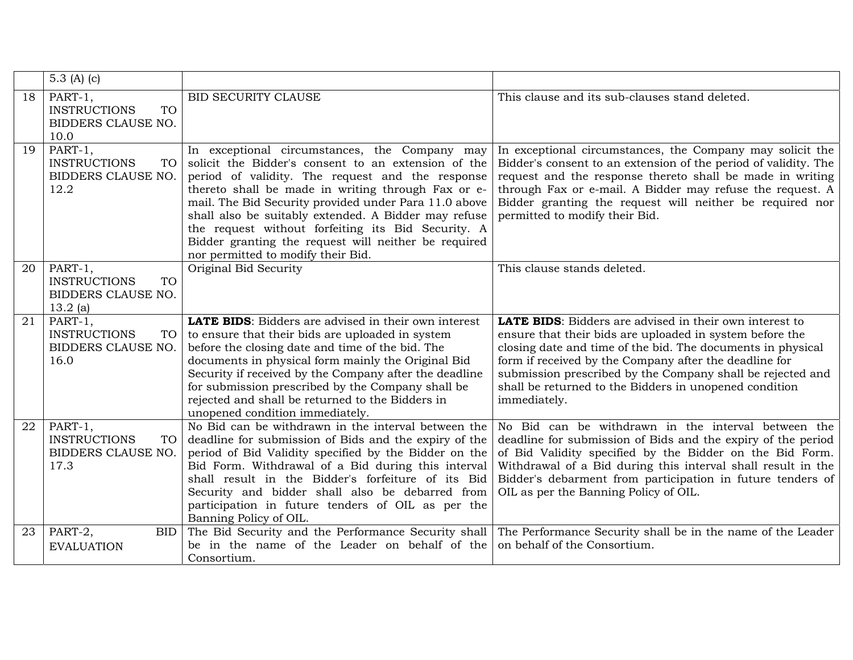|    | 5.3 (A) (c)                                                                  |                                                                                                                                                                                                                                                                                                                                                                                                                                                                                     |                                                                                                                                                                                                                                                                                                                                                                                             |
|----|------------------------------------------------------------------------------|-------------------------------------------------------------------------------------------------------------------------------------------------------------------------------------------------------------------------------------------------------------------------------------------------------------------------------------------------------------------------------------------------------------------------------------------------------------------------------------|---------------------------------------------------------------------------------------------------------------------------------------------------------------------------------------------------------------------------------------------------------------------------------------------------------------------------------------------------------------------------------------------|
| 18 | PART-1,<br><b>INSTRUCTIONS</b><br><b>TO</b><br>BIDDERS CLAUSE NO.<br>10.0    | BID SECURITY CLAUSE                                                                                                                                                                                                                                                                                                                                                                                                                                                                 | This clause and its sub-clauses stand deleted.                                                                                                                                                                                                                                                                                                                                              |
| 19 | $PART-1,$<br><b>INSTRUCTIONS</b><br>TO<br>BIDDERS CLAUSE NO.<br>12.2         | In exceptional circumstances, the Company may<br>solicit the Bidder's consent to an extension of the<br>period of validity. The request and the response<br>thereto shall be made in writing through Fax or e-<br>mail. The Bid Security provided under Para 11.0 above<br>shall also be suitably extended. A Bidder may refuse<br>the request without forfeiting its Bid Security. A<br>Bidder granting the request will neither be required<br>nor permitted to modify their Bid. | In exceptional circumstances, the Company may solicit the<br>Bidder's consent to an extension of the period of validity. The<br>request and the response thereto shall be made in writing<br>through Fax or e-mail. A Bidder may refuse the request. A<br>Bidder granting the request will neither be required nor<br>permitted to modify their Bid.                                        |
| 20 | PART-1,<br><b>INSTRUCTIONS</b><br><b>TO</b><br>BIDDERS CLAUSE NO.<br>13.2(a) | Original Bid Security                                                                                                                                                                                                                                                                                                                                                                                                                                                               | This clause stands deleted.                                                                                                                                                                                                                                                                                                                                                                 |
| 21 | PART-1,<br><b>INSTRUCTIONS</b><br><b>TO</b><br>BIDDERS CLAUSE NO.<br>16.0    | <b>LATE BIDS:</b> Bidders are advised in their own interest<br>to ensure that their bids are uploaded in system<br>before the closing date and time of the bid. The<br>documents in physical form mainly the Original Bid<br>Security if received by the Company after the deadline<br>for submission prescribed by the Company shall be<br>rejected and shall be returned to the Bidders in<br>unopened condition immediately.                                                     | <b>LATE BIDS:</b> Bidders are advised in their own interest to<br>ensure that their bids are uploaded in system before the<br>closing date and time of the bid. The documents in physical<br>form if received by the Company after the deadline for<br>submission prescribed by the Company shall be rejected and<br>shall be returned to the Bidders in unopened condition<br>immediately. |
| 22 | PART-1,<br><b>INSTRUCTIONS</b><br>TO<br>BIDDERS CLAUSE NO.<br>17.3           | No Bid can be withdrawn in the interval between the<br>deadline for submission of Bids and the expiry of the<br>period of Bid Validity specified by the Bidder on the<br>Bid Form. Withdrawal of a Bid during this interval<br>shall result in the Bidder's forfeiture of its Bid<br>Security and bidder shall also be debarred from<br>participation in future tenders of OIL as per the<br>Banning Policy of OIL.                                                                 | No Bid can be withdrawn in the interval between the<br>deadline for submission of Bids and the expiry of the period<br>of Bid Validity specified by the Bidder on the Bid Form.<br>Withdrawal of a Bid during this interval shall result in the<br>Bidder's debarment from participation in future tenders of<br>OIL as per the Banning Policy of OIL.                                      |
| 23 | PART-2,<br><b>BID</b><br><b>EVALUATION</b>                                   | The Bid Security and the Performance Security shall<br>be in the name of the Leader on behalf of the<br>Consortium.                                                                                                                                                                                                                                                                                                                                                                 | The Performance Security shall be in the name of the Leader<br>on behalf of the Consortium.                                                                                                                                                                                                                                                                                                 |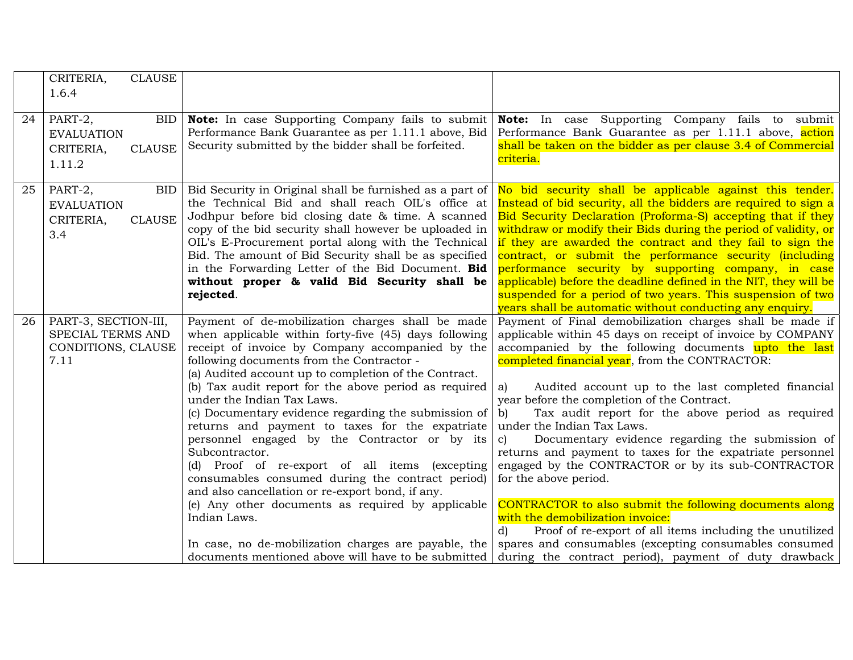|    | CRITERIA,<br><b>CLAUSE</b> |                                                                                                              |                                                                                                                       |
|----|----------------------------|--------------------------------------------------------------------------------------------------------------|-----------------------------------------------------------------------------------------------------------------------|
|    | 1.6.4                      |                                                                                                              |                                                                                                                       |
|    |                            |                                                                                                              |                                                                                                                       |
| 24 | PART-2,<br>BID             | <b>Note:</b> In case Supporting Company fails to submit                                                      | Note: In case Supporting Company fails to submit                                                                      |
|    | <b>EVALUATION</b>          | Performance Bank Guarantee as per 1.11.1 above, Bid                                                          | Performance Bank Guarantee as per 1.11.1 above, action                                                                |
|    | <b>CLAUSE</b><br>CRITERIA, | Security submitted by the bidder shall be forfeited.                                                         | shall be taken on the bidder as per clause 3.4 of Commercial                                                          |
|    | 1.11.2                     |                                                                                                              | criteria.                                                                                                             |
|    |                            |                                                                                                              |                                                                                                                       |
| 25 | PART-2,<br><b>BID</b>      | Bid Security in Original shall be furnished as a part of                                                     | No bid security shall be applicable against this tender.                                                              |
|    | <b>EVALUATION</b>          | the Technical Bid and shall reach OIL's office at                                                            | Instead of bid security, all the bidders are required to sign a                                                       |
|    | <b>CLAUSE</b><br>CRITERIA, | Jodhpur before bid closing date & time. A scanned                                                            | Bid Security Declaration (Proforma-S) accepting that if they                                                          |
|    | 3.4                        | copy of the bid security shall however be uploaded in                                                        | withdraw or modify their Bids during the period of validity, or                                                       |
|    |                            | OIL's E-Procurement portal along with the Technical<br>Bid. The amount of Bid Security shall be as specified | if they are awarded the contract and they fail to sign the<br>contract, or submit the performance security (including |
|    |                            | in the Forwarding Letter of the Bid Document. Bid                                                            | performance security by supporting company, in case                                                                   |
|    |                            | without proper & valid Bid Security shall be                                                                 | applicable) before the deadline defined in the NIT, they will be                                                      |
|    |                            | rejected.                                                                                                    | suspended for a period of two years. This suspension of two                                                           |
|    |                            |                                                                                                              | years shall be automatic without conducting any enquiry.                                                              |
| 26 | PART-3, SECTION-III,       | Payment of de-mobilization charges shall be made                                                             | Payment of Final demobilization charges shall be made if                                                              |
|    | SPECIAL TERMS AND          | when applicable within forty-five (45) days following                                                        | applicable within 45 days on receipt of invoice by COMPANY                                                            |
|    | CONDITIONS, CLAUSE         | receipt of invoice by Company accompanied by the                                                             | accompanied by the following documents upto the last                                                                  |
|    | 7.11                       | following documents from the Contractor -                                                                    | completed financial year, from the CONTRACTOR:                                                                        |
|    |                            | (a) Audited account up to completion of the Contract.                                                        |                                                                                                                       |
|    |                            | (b) Tax audit report for the above period as required                                                        | Audited account up to the last completed financial<br>a)                                                              |
|    |                            | under the Indian Tax Laws.                                                                                   | year before the completion of the Contract.                                                                           |
|    |                            | (c) Documentary evidence regarding the submission of<br>returns and payment to taxes for the expatriate      | Tax audit report for the above period as required<br>$\mathbf{b}$<br>under the Indian Tax Laws.                       |
|    |                            | personnel engaged by the Contractor or by its                                                                | Documentary evidence regarding the submission of<br>$\mathbf{c}$                                                      |
|    |                            | Subcontractor.                                                                                               | returns and payment to taxes for the expatriate personnel                                                             |
|    |                            | (d) Proof of re-export of all items (excepting                                                               | engaged by the CONTRACTOR or by its sub-CONTRACTOR                                                                    |
|    |                            | consumables consumed during the contract period)                                                             | for the above period.                                                                                                 |
|    |                            | and also cancellation or re-export bond, if any.                                                             |                                                                                                                       |
|    |                            | (e) Any other documents as required by applicable                                                            | CONTRACTOR to also submit the following documents along                                                               |
|    |                            | Indian Laws.                                                                                                 | with the demobilization invoice:                                                                                      |
|    |                            |                                                                                                              | Proof of re-export of all items including the unutilized<br>$\mathbf{d}$                                              |
|    |                            | In case, no de-mobilization charges are payable, the                                                         | spares and consumables (excepting consumables consumed                                                                |
|    |                            | documents mentioned above will have to be submitted                                                          | during the contract period), payment of duty drawback                                                                 |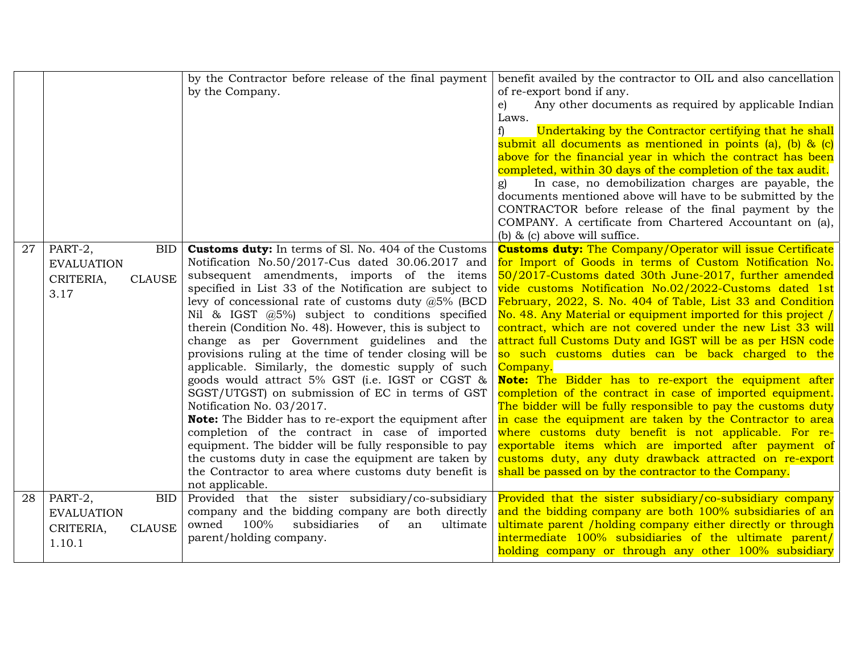|    |                                                                                  | by the Contractor before release of the final payment<br>by the Company.                                                                                                                                                                                                                                                                                                                                                                                                                                                                                                                                                                                                                                                                                                                                                                                                                                                                                                                                               | benefit availed by the contractor to OIL and also cancellation<br>of re-export bond if any.<br>Any other documents as required by applicable Indian<br>e)<br>Laws.<br>Undertaking by the Contractor certifying that he shall<br>f)<br>submit all documents as mentioned in points (a), (b) $\&$ (c)<br>above for the financial year in which the contract has been<br>completed, within 30 days of the completion of the tax audit.<br>In case, no demobilization charges are payable, the<br>documents mentioned above will have to be submitted by the<br>CONTRACTOR before release of the final payment by the<br>COMPANY. A certificate from Chartered Accountant on (a),<br>(b) $\&$ (c) above will suffice.                                                                                                                                                                                                                                                                                                                                                |
|----|----------------------------------------------------------------------------------|------------------------------------------------------------------------------------------------------------------------------------------------------------------------------------------------------------------------------------------------------------------------------------------------------------------------------------------------------------------------------------------------------------------------------------------------------------------------------------------------------------------------------------------------------------------------------------------------------------------------------------------------------------------------------------------------------------------------------------------------------------------------------------------------------------------------------------------------------------------------------------------------------------------------------------------------------------------------------------------------------------------------|------------------------------------------------------------------------------------------------------------------------------------------------------------------------------------------------------------------------------------------------------------------------------------------------------------------------------------------------------------------------------------------------------------------------------------------------------------------------------------------------------------------------------------------------------------------------------------------------------------------------------------------------------------------------------------------------------------------------------------------------------------------------------------------------------------------------------------------------------------------------------------------------------------------------------------------------------------------------------------------------------------------------------------------------------------------|
| 27 | PART-2,<br><b>BID</b><br><b>EVALUATION</b><br><b>CLAUSE</b><br>CRITERIA,<br>3.17 | <b>Customs duty:</b> In terms of Sl. No. 404 of the Customs<br>Notification No.50/2017-Cus dated 30.06.2017 and<br>subsequent amendments, imports of the items<br>specified in List 33 of the Notification are subject to<br>levy of concessional rate of customs duty $@5\%$ (BCD<br>Nil & IGST $(0.5\%)$ subject to conditions specified<br>therein (Condition No. 48). However, this is subject to<br>change as per Government guidelines and the<br>provisions ruling at the time of tender closing will be<br>applicable. Similarly, the domestic supply of such<br>goods would attract 5% GST (i.e. IGST or CGST &<br>SGST/UTGST) on submission of EC in terms of GST<br>Notification No. 03/2017.<br><b>Note:</b> The Bidder has to re-export the equipment after<br>completion of the contract in case of imported<br>equipment. The bidder will be fully responsible to pay<br>the customs duty in case the equipment are taken by<br>the Contractor to area where customs duty benefit is<br>not applicable. | <b>Customs duty:</b> The Company/Operator will issue Certificate<br>for Import of Goods in terms of Custom Notification No.<br>50/2017-Customs dated 30th June-2017, further amended<br>vide customs Notification No.02/2022-Customs dated 1st<br>February, 2022, S. No. 404 of Table, List 33 and Condition<br>No. 48. Any Material or equipment imported for this project /<br>contract, which are not covered under the new List 33 will<br>attract full Customs Duty and IGST will be as per HSN code<br>so such customs duties can be back charged to the<br>Company.<br>Note: The Bidder has to re-export the equipment after<br>completion of the contract in case of imported equipment.<br>The bidder will be fully responsible to pay the customs duty<br>in case the equipment are taken by the Contractor to area<br>where customs duty benefit is not applicable. For re-<br>exportable items which are imported after payment of<br>customs duty, any duty drawback attracted on re-export<br>shall be passed on by the contractor to the Company. |
| 28 | PART-2,<br>BID<br><b>EVALUATION</b><br>CRITERIA,<br><b>CLAUSE</b><br>1.10.1      | Provided that the sister subsidiary/co-subsidiary<br>company and the bidding company are both directly<br>owned<br>100%<br>subsidiaries<br>of<br>ultimate<br>an<br>parent/holding company.                                                                                                                                                                                                                                                                                                                                                                                                                                                                                                                                                                                                                                                                                                                                                                                                                             | Provided that the sister subsidiary/co-subsidiary company<br>and the bidding company are both 100% subsidiaries of an<br>ultimate parent / holding company either directly or through<br>intermediate 100% subsidiaries of the ultimate parent/<br>holding company or through any other 100% subsidiary                                                                                                                                                                                                                                                                                                                                                                                                                                                                                                                                                                                                                                                                                                                                                          |